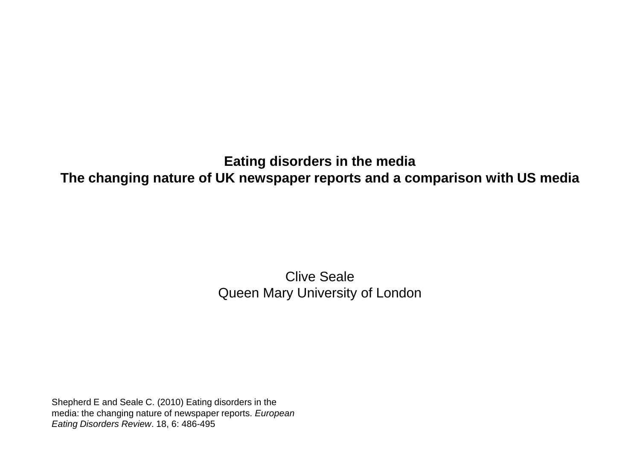### **Eating disorders in the media The changing nature of UK newspaper reports and a comparison with US media**

### Clive Seale Queen Mary University of London

Shepherd E and Seale C. (2010) Eating disorders in the media: the changing nature of newspaper reports. *European Eating Disorders Review*. 18, 6: 486-495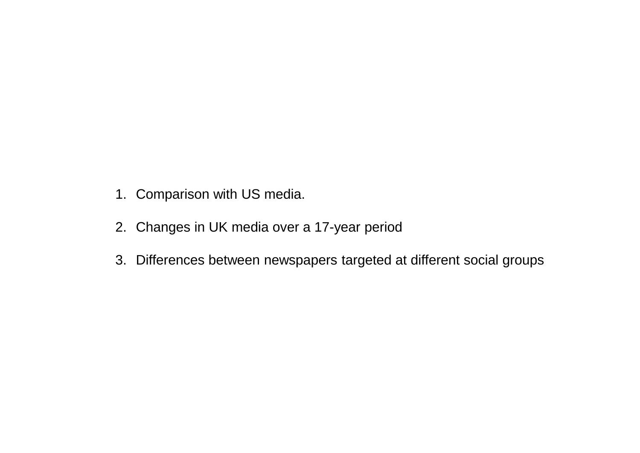- 1. Comparison with US media.
- 2. Changes in UK media over a 17-year period
- 3. Differences between newspapers targeted at different social groups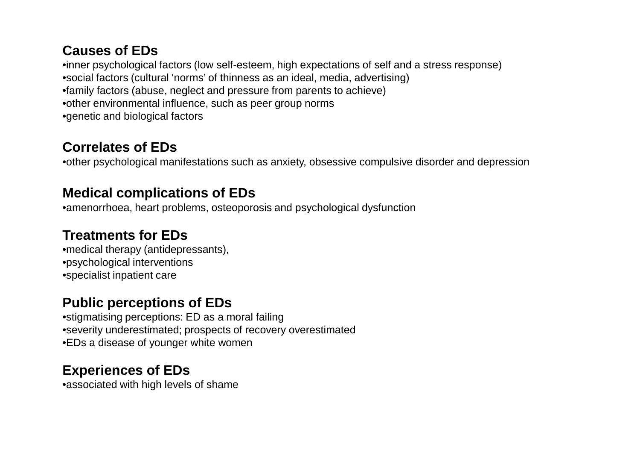### **Causes of EDs**

•inner psychological factors (low self-esteem, high expectations of self and a stress response) •social factors (cultural 'norms' of thinness as an ideal, media, advertising) •family factors (abuse, neglect and pressure from parents to achieve) •other environmental influence, such as peer group norms •genetic and biological factors

## **Correlates of EDs**

•other psychological manifestations such as anxiety, obsessive compulsive disorder and depression

## **Medical complications of EDs**

•amenorrhoea, heart problems, osteoporosis and psychological dysfunction

# **Treatments for EDs**

•medical therapy (antidepressants), •psychological interventions •specialist inpatient care

# **Public perceptions of EDs**

•stigmatising perceptions: ED as a moral failing •severity underestimated; prospects of recovery overestimated •EDs a disease of younger white women

# **Experiences of EDs**

•associated with high levels of shame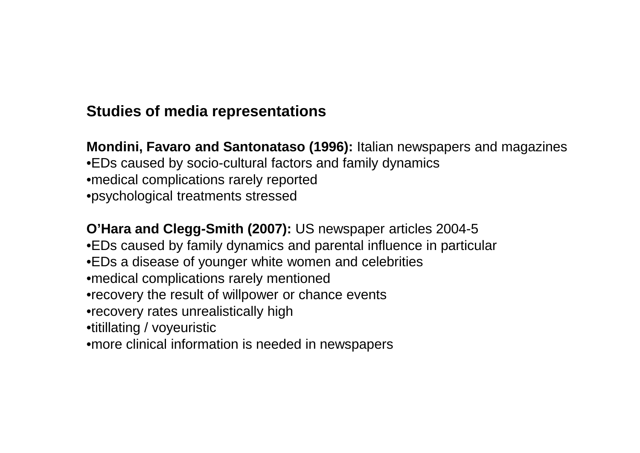# **Studies of media representations**

**Mondini, Favaro and Santonataso (1996):** Italian newspapers and magazines •EDs caused by socio-cultural factors and family dynamics •medical complications rarely reported •psychological treatments stressed

**O'Hara and Clegg-Smith (2007): US newspaper articles 2004-5** •EDs caused by family dynamics and parental influence in particular •EDs a disease of younger white women and celebrities •medical complications rarely mentioned •recovery the result of willpower or chance events •recovery rates unrealistically high •titillating / voyeuristic •more clinical information is needed in newspapers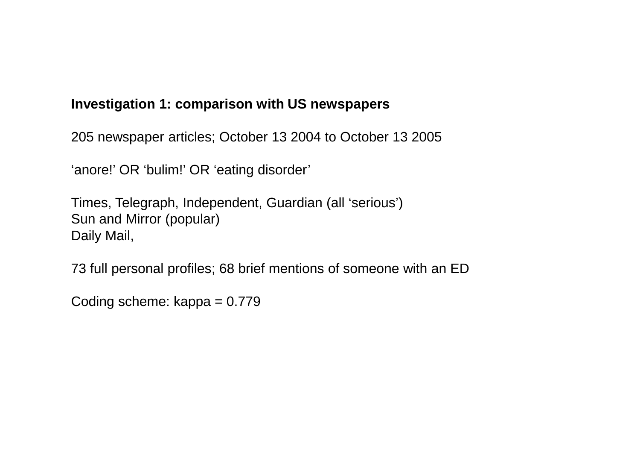### **Investigation 1: comparison with US newspapers**

205 newspaper articles; October 13 2004 to October 13 2005

'anore!' OR 'bulim!' OR 'eating disorder'

Times, Telegraph, Independent, Guardian (all 'serious') Sun and Mirror (popular) Daily Mail,

73 full personal profiles; 68 brief mentions of someone with an ED

Coding scheme: kappa = 0.779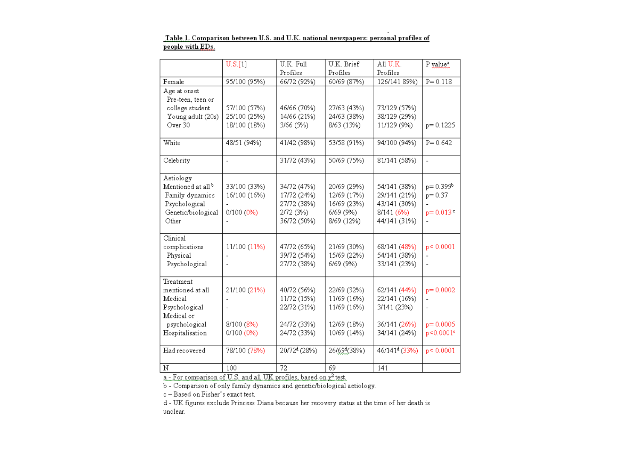|                               | U.S.[1]        | U.K. Full                | U.K. Brief               | A11 U.K.                  | P value <sup>a</sup>     |
|-------------------------------|----------------|--------------------------|--------------------------|---------------------------|--------------------------|
|                               |                | Profiles                 | Profiles                 | Profiles                  |                          |
| Female                        | 95/100 (95%)   | 66/72 (92%)              | 60/69 (87%)              | 126/141 89%)              | $P = 0.118$              |
| Age at onset                  |                |                          |                          |                           |                          |
| Pre-teen, teen or             |                |                          |                          |                           |                          |
| college student               | 57/100 (57%)   | 46/66 (70%)              | 27/63 (43%)              | 73/129 (57%)              |                          |
| Young adult (20s)             | 25/100 (25%)   | 14/66 (21%)              | 24/63 (38%)              | 38/129 (29%)              |                          |
| Over 30                       | 18/100 (18%)   | 3/66 (5%)                | 8/63 (13%)               | 11/129 (9%)               | $p = 0.1225$             |
|                               |                |                          |                          |                           |                          |
| White                         | 48/51 (94%)    | 41/42 (98%)              | 53/58 (91%)              | 94/100 (94%)              | $P = 0.642$              |
|                               |                |                          |                          |                           |                          |
| Celebrity                     | $\overline{a}$ | 31/72 (43%)              | 50/69 (75%)              | 81/141 (58%)              | $\overline{a}$           |
|                               |                |                          |                          |                           |                          |
| Aetiology                     |                |                          |                          |                           |                          |
| Mentioned at all <sup>b</sup> | 33/100 (33%)   | 34/72 (47%)              | 20/69 (29%)              | 54/141 (38%)              | $p = 0.399b$             |
| Family dynamics               | 16/100 (16%)   | 17/72 (24%)              | 12/69 (17%)              | 29/141 (21%)              | $p = 0.37$               |
| Psychological                 |                | 27/72 (38%)              | 16/69 (23%)              | 43/141 (30%)              |                          |
| Genetic/biological            | 0/100 (0%)     | 2/72 (3%)                | 6/69 (9%)                | 8/141 (6%)                | $p = 0.013$ <sup>c</sup> |
| Other                         |                | 36/72 (50%)              | 8/69 (12%)               | 44/141 (31%)              | $\overline{a}$           |
| Clinical                      |                |                          |                          |                           |                          |
| complications                 | 11/100 (11%)   | 47/72 (65%)              | 21/69 (30%)              | 68/141 (48%)              | p < 0.0001               |
| Physical                      |                | 39/72 (54%)              | 15/69 (22%)              | 54/141 (38%)              | $\overline{a}$           |
| Psychological                 |                | 27/72 (38%)              | 6/69 (9%)                | 33/141 (23%)              |                          |
|                               |                |                          |                          |                           |                          |
| Treatment                     |                |                          |                          |                           |                          |
| mentioned at all              | 21/100 (21%)   | 40/72 (56%)              | 22/69 (32%)              | 62/141 (44%)              | $p=0.0002$               |
| Medical                       |                | 11/72 (15%)              | 11/69 (16%)              | 22/141 (16%)              |                          |
| Psychological                 |                | 22/72 (31%)              | 11/69 (16%)              | 3/141 (23%)               | $\overline{a}$           |
| Medical or                    |                |                          |                          |                           |                          |
| psychological                 | 8/100 (8%)     | 24/72 (33%)              | 12/69 (18%)              | 36/141 (26%)              | $p=0.0005$               |
| Hospitalisation               | 0/100 (0%)     | 24/72 (33%)              | 10/69 (14%)              | 34/141 (24%)              | p<0.0001°                |
|                               |                |                          |                          |                           |                          |
| Had recovered                 | 78/100 (78%)   | 20/72 <sup>d</sup> (28%) | 26/69 <sup>d</sup> (38%) | 46/141 <sup>d</sup> (33%) | p < 0.0001               |
|                               |                |                          |                          |                           |                          |
| Ν                             | 100            | 72                       | 69                       | 141                       |                          |

#### Table 1. Comparison between U.S. and U.K. national newspapers: personal profiles of people with EDs.

 $a$  - For comparison of U.S. and all UK profiles, based on  $\chi^2$  test.

b - Comparison of only family dynamics and genetic/biological aetiology.

 $c - Based on Fisher's exact test.$ 

d - UK figures exclude Princess Diana because her recovery status at the time of her death is unclear.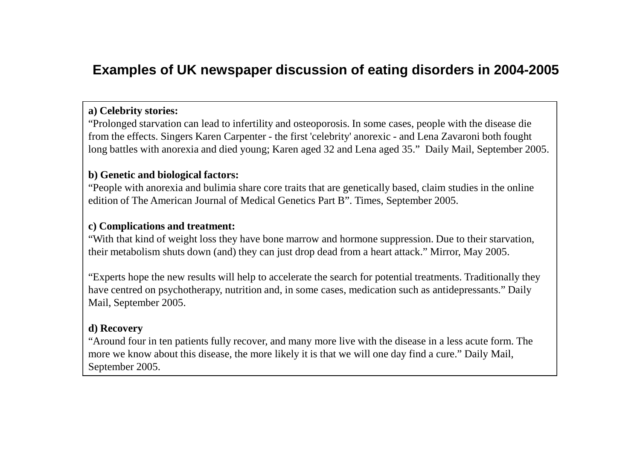## **Examples of UK newspaper discussion of eating disorders in 2004-2005**

### **a) Celebrity stories:**

"Prolonged starvation can lead to infertility and osteoporosis. In some cases, people with the disease die from the effects. Singers Karen Carpenter - the first 'celebrity' anorexic - and Lena Zavaroni both fought long battles with anorexia and died young; Karen aged 32 and Lena aged 35." Daily Mail, September 2005.

### **b) Genetic and biological factors:**

"People with anorexia and bulimia share core traits that are genetically based, claim studies in the online edition of The American Journal of Medical Genetics Part B". Times, September 2005.

### **c) Complications and treatment:**

"With that kind of weight loss they have bone marrow and hormone suppression. Due to their starvation, their metabolism shuts down (and) they can just drop dead from a heart attack." Mirror, May 2005.

"Experts hope the new results will help to accelerate the search for potential treatments. Traditionally they have centred on psychotherapy, nutrition and, in some cases, medication such as antidepressants." Daily Mail, September 2005.

### **d) Recovery**

"Around four in ten patients fully recover, and many more live with the disease in a less acute form. The more we know about this disease, the more likely it is that we will one day find a cure." Daily Mail, September 2005.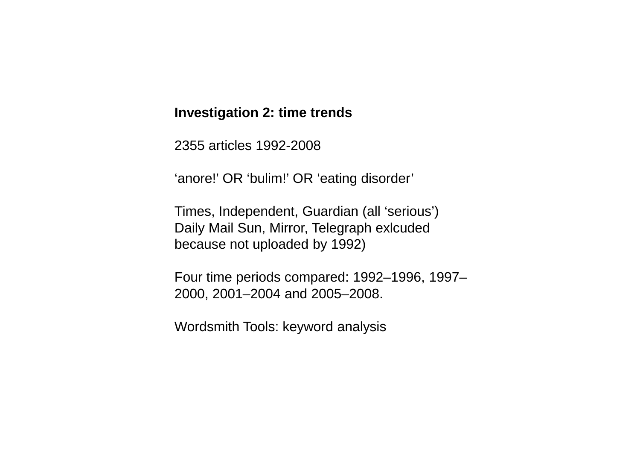### **Investigation 2: time trends**

2355 articles 1992-2008

'anore!' OR 'bulim!' OR 'eating disorder'

Times, Independent, Guardian (all 'serious') Daily Mail Sun, Mirror, Telegraph exlcuded because not uploaded by 1992)

Four time periods compared: 1992–1996, 1997– 2000, 2001–2004 and 2005–2008.

Wordsmith Tools: keyword analysis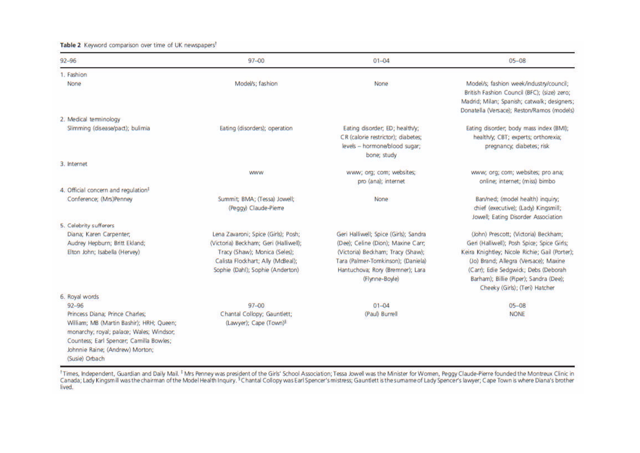#### Table 2 Keyword comparison over time of UK newspapers<sup>t</sup>

| $92 - 96$                                                                                                                                                                                                                            | $97 - 00$                                                                                                                                                                              | $01 - 04$                                                                                                                                                                                                    | $05 - 08$                                                                                                                                                                                                                                                                                         |
|--------------------------------------------------------------------------------------------------------------------------------------------------------------------------------------------------------------------------------------|----------------------------------------------------------------------------------------------------------------------------------------------------------------------------------------|--------------------------------------------------------------------------------------------------------------------------------------------------------------------------------------------------------------|---------------------------------------------------------------------------------------------------------------------------------------------------------------------------------------------------------------------------------------------------------------------------------------------------|
| 1. Fashion                                                                                                                                                                                                                           |                                                                                                                                                                                        |                                                                                                                                                                                                              |                                                                                                                                                                                                                                                                                                   |
| None                                                                                                                                                                                                                                 | Model/s; fashion                                                                                                                                                                       | None                                                                                                                                                                                                         | Model/s; fashion week/industry/council;<br>British Fashion Council (BFC); (size) zero;<br>Madrid; Milan; Spanish; catwalk; designers;<br>Donatella (Versace); Reston/Ramos (models)                                                                                                               |
| 2. Medical terminology                                                                                                                                                                                                               |                                                                                                                                                                                        |                                                                                                                                                                                                              |                                                                                                                                                                                                                                                                                                   |
| Slimming (disease/pact); bulimia                                                                                                                                                                                                     | Eating (disorders); operation                                                                                                                                                          | Eating disorder; ED; health/y;<br>CR (calorie restrictor); diabetes;<br>levels -- hormone/blood sugar;<br>bone; study                                                                                        | Eating disorder; body mass index (BMI);<br>health/y, CBT; experts; orthorexia;<br>pregnancy, diabetes; risk                                                                                                                                                                                       |
| 3. Internet                                                                                                                                                                                                                          |                                                                                                                                                                                        |                                                                                                                                                                                                              |                                                                                                                                                                                                                                                                                                   |
|                                                                                                                                                                                                                                      | <b>WWW</b>                                                                                                                                                                             | www; org; com; websites;<br>pro (ana); internet                                                                                                                                                              | www; org; com; websites; pro ana;<br>online; internet; (miss) bimbo                                                                                                                                                                                                                               |
| 4. Official concern and regulation <sup>1</sup>                                                                                                                                                                                      |                                                                                                                                                                                        |                                                                                                                                                                                                              |                                                                                                                                                                                                                                                                                                   |
| Conference; (Mrs)Penney                                                                                                                                                                                                              | Summit; BMA; (Tessa) Jowell;<br>(Peggy) Claude-Pierre                                                                                                                                  | None                                                                                                                                                                                                         | Ban/ned; (model health) inquiry;<br>chief (executive); (Lady) Kingsmill;<br>Jowell; Eating Disorder Association                                                                                                                                                                                   |
| 5. Celebrity sufferers                                                                                                                                                                                                               |                                                                                                                                                                                        |                                                                                                                                                                                                              |                                                                                                                                                                                                                                                                                                   |
| Diana; Karen Carpenter;<br>Audrey Hepburn; Britt Ekland;<br>Elton John; Isabella (Hervey)                                                                                                                                            | Lena Zavaroni; Spice (Girls); Posh;<br>(Victoria) Beckham; Geri (Halliwell);<br>Tracy (Shaw); Monica (Seles);<br>Calista Flockhart; Ally (McBeal);<br>Sophie (Dahl); Sophie (Anderton) | Geri Halliwell; Spice (Girls); Sandra<br>(Dee); Celine (Dion); Maxine Carr;<br>(Victoria) Beckham; Tracy (Shaw);<br>Tara (Palmer-Tomkinson); (Daniela)<br>Hantuchova; Rory (Bremner); Lara<br>(Flynne-Boyle) | (John) Prescott; (Victoria) Beckham;<br>Geri (Halliwell); Posh Spice; Spice Girls;<br>Keira Knightley; Nicole Richie; Gail (Porter);<br>(Jo) Brand; Allegra (Versace); Maxine<br>(Carr); Edie Sedgwick; Debs (Deborah<br>Barham); Billie (Piper); Sandra (Dee);<br>Cheeky (Girls); (Teri) Hatcher |
| 6. Royal words                                                                                                                                                                                                                       |                                                                                                                                                                                        |                                                                                                                                                                                                              |                                                                                                                                                                                                                                                                                                   |
| $92 - 96$<br>Princess Diana; Prince Charles;<br>William; MB (Martin Bashir); HRH; Queen;<br>monarchy; royal; palace; Wales; Windsor;<br>Countess; Earl Spencer, Camilla Bowles;<br>Johnnie Raine; (Andrew) Morton;<br>(Susie) Orbach | $97 - 00$<br>Chantal Collopy; Gauntlett;<br>(Lawyer); Cape (Town) <sup>§</sup>                                                                                                         | $01 - 04$<br>(Paul) Burrell                                                                                                                                                                                  | $05 - 08$<br><b>NONE</b>                                                                                                                                                                                                                                                                          |

<sup>1</sup> Times, Independent, Guardian and Daily Mail. <sup>†</sup> Mrs Penney was president of the Girls' School Association; Tessa Jowell was the Minister for Women, Peggy Claude-Pierre founded the Montreux Clinic in<br>Canada; Lady Kings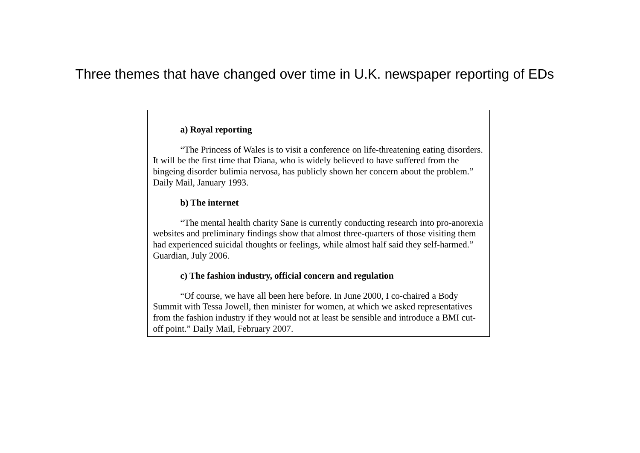### Three themes that have changed over time in U.K. newspaper reporting of EDs

### **a) Royal reporting**

"The Princess of Wales is to visit a conference on life-threatening eating disorders. It will be the first time that Diana, who is widely believed to have suffered from the bingeing disorder bulimia nervosa, has publicly shown her concern about the problem." Daily Mail, January 1993.

#### **b) The internet**

"The mental health charity Sane is currently conducting research into pro-anorexia websites and preliminary findings show that almost three-quarters of those visiting them had experienced suicidal thoughts or feelings, while almost half said they self-harmed." Guardian, July 2006.

#### **c) The fashion industry, official concern and regulation**

"Of course, we have all been here before. In June 2000, I co-chaired a Body Summit with Tessa Jowell, then minister for women, at which we asked representatives from the fashion industry if they would not at least be sensible and introduce a BMI cutoff point." Daily Mail, February 2007.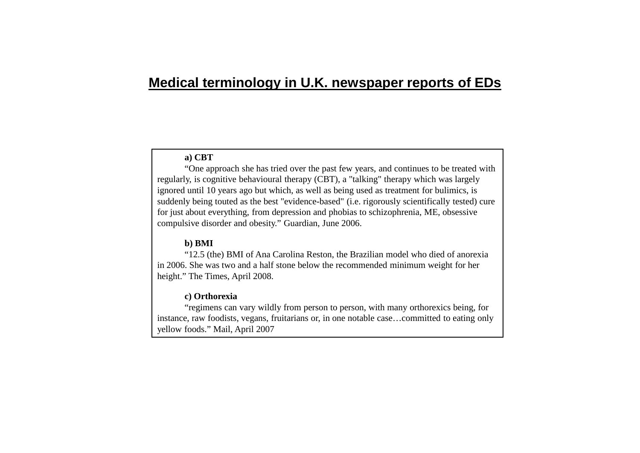### **Medical terminology in U.K. newspaper reports of EDs**

#### **a) CBT**

"One approach she has tried over the past few years, and continues to be treated with regularly, is cognitive behavioural therapy (CBT), a "talking" therapy which was largely ignored until 10 years ago but which, as well as being used as treatment for bulimics, is suddenly being touted as the best "evidence-based" (i.e. rigorously scientifically tested) cure for just about everything, from depression and phobias to schizophrenia, ME, obsessive compulsive disorder and obesity." Guardian, June 2006.

#### **b) BMI**

"12.5 (the) BMI of Ana Carolina Reston, the Brazilian model who died of anorexia in 2006. She was two and a half stone below the recommended minimum weight for her height." The Times, April 2008.

#### **c) Orthorexia**

"regimens can vary wildly from person to person, with many orthorexics being, for instance, raw foodists, vegans, fruitarians or, in one notable case…committed to eating only yellow foods." Mail, April 2007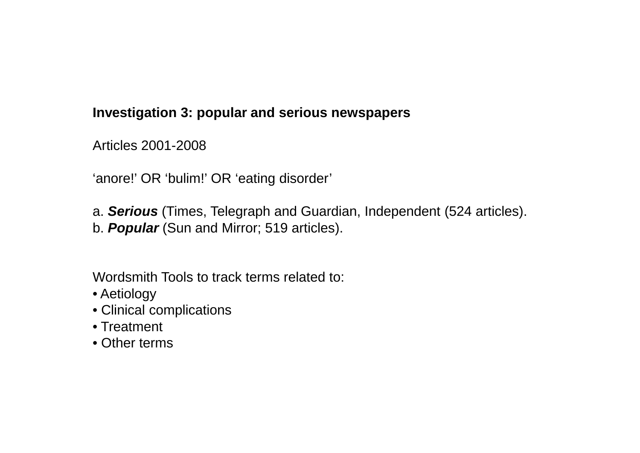### **Investigation 3: popular and serious newspapers**

Articles 2001-2008

'anore!' OR 'bulim!' OR 'eating disorder'

a. *Serious* (Times, Telegraph and Guardian, Independent (524 articles). b. *Popular* (Sun and Mirror; 519 articles).

Wordsmith Tools to track terms related to:

- Aetiology
- Clinical complications
- Treatment
- Other terms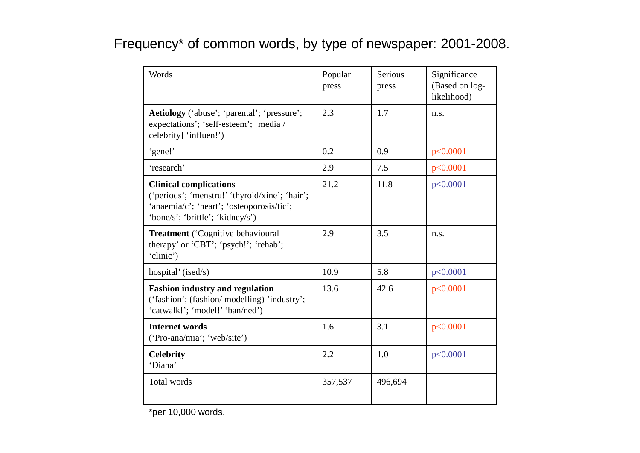# Frequency\* of common words, by type of newspaper: 2001-2008.

| Words                                                                                                                                                            | Popular<br>press | Serious<br>press | Significance<br>(Based on log-<br>likelihood) |
|------------------------------------------------------------------------------------------------------------------------------------------------------------------|------------------|------------------|-----------------------------------------------|
| Aetiology ('abuse'; 'parental'; 'pressure';<br>expectations'; 'self-esteem'; [media /<br>celebrity] 'influen!')                                                  | 2.3              | 1.7              | n.s.                                          |
| 'gene!'                                                                                                                                                          | 0.2              | 0.9              | p<0.0001                                      |
| 'research'                                                                                                                                                       | 2.9              | 7.5              | p<0.0001                                      |
| <b>Clinical complications</b><br>('periods'; 'menstru!' 'thyroid/xine'; 'hair';<br>'anaemia/c'; 'heart'; 'osteoporosis/tic';<br>'bone/s'; 'brittle'; 'kidney/s') | 21.2             | 11.8             | p<0.0001                                      |
| <b>Treatment</b> ('Cognitive behavioural<br>therapy' or 'CBT'; 'psych!'; 'rehab';<br>'clinic')                                                                   | 2.9              | 3.5              | n.s.                                          |
| hospital' (ised/s)                                                                                                                                               | 10.9             | 5.8              | p<0.0001                                      |
| <b>Fashion industry and regulation</b><br>('fashion'; (fashion/ modelling) 'industry';<br>'catwalk!'; 'model!' 'ban/ned')                                        | 13.6             | 42.6             | p<0.0001                                      |
| <b>Internet words</b><br>('Pro-ana/mia'; 'web/site')                                                                                                             | 1.6              | 3.1              | p<0.0001                                      |
| <b>Celebrity</b><br>'Diana'                                                                                                                                      | 2.2              | 1.0              | p<0.0001                                      |
| Total words                                                                                                                                                      | 357,537          | 496,694          |                                               |

\*per 10,000 words.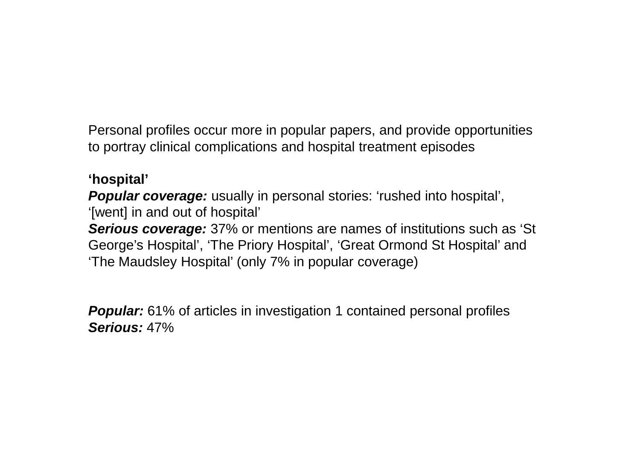Personal profiles occur more in popular papers, and provide opportunities to portray clinical complications and hospital treatment episodes

### **'hospital'**

*Popular coverage:* usually in personal stories: 'rushed into hospital', '[went] in and out of hospital' *Serious coverage:* 37% or mentions are names of institutions such as 'St George's Hospital', 'The Priory Hospital', 'Great Ormond St Hospital' and 'The Maudsley Hospital' (only 7% in popular coverage)

**Popular:** 61% of articles in investigation 1 contained personal profiles *Serious:* 47%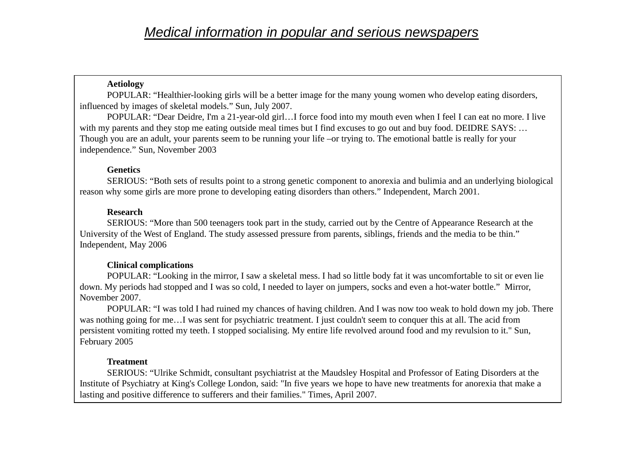### **Aetiology**

POPULAR: "Healthier-looking girls will be a better image for the many young women who develop eating disorders, influenced by images of skeletal models." Sun, July 2007.

POPULAR: "Dear Deidre, I'm a 21-year-old girl…I force food into my mouth even when I feel I can eat no more. I live with my parents and they stop me eating outside meal times but I find excuses to go out and buy food. DEIDRE SAYS: ... Though you are an adult, your parents seem to be running your life –or trying to. The emotional battle is really for your independence." Sun, November 2003

### **Genetics**

SERIOUS: "Both sets of results point to a strong genetic component to anorexia and bulimia and an underlying biological reason why some girls are more prone to developing eating disorders than others." Independent, March 2001.

### **Research**

SERIOUS: "More than 500 teenagers took part in the study, carried out by the Centre of Appearance Research at the University of the West of England. The study assessed pressure from parents, siblings, friends and the media to be thin." Independent, May 2006

#### **Clinical complications**

POPULAR: "Looking in the mirror, I saw a skeletal mess. I had so little body fat it was uncomfortable to sit or even lie down. My periods had stopped and I was so cold, I needed to layer on jumpers, socks and even a hot-water bottle." Mirror, November 2007.

POPULAR: "I was told I had ruined my chances of having children. And I was now too weak to hold down my job. There was nothing going for me…I was sent for psychiatric treatment. I just couldn't seem to conquer this at all. The acid from persistent vomiting rotted my teeth. I stopped socialising. My entire life revolved around food and my revulsion to it." Sun, February 2005

### **Treatment**

SERIOUS: "Ulrike Schmidt, consultant psychiatrist at the Maudsley Hospital and Professor of Eating Disorders at the Institute of Psychiatry at King's College London, said: "In five years we hope to have new treatments for anorexia that make a lasting and positive difference to sufferers and their families." Times, April 2007.